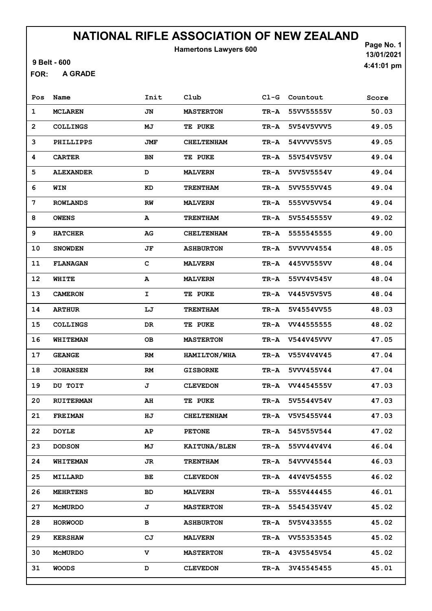Hamertons Lawyers 600

9 Belt - 600

A GRADE FOR:

Page No. 1 13/01/2021 4:41:01 pm

| Pos            | Name             | Init        | Club                | $CL-G$   | Countout   | Score |
|----------------|------------------|-------------|---------------------|----------|------------|-------|
| 1              | <b>MCLAREN</b>   | JN          | <b>MASTERTON</b>    | TR-A     | 55VV55555V | 50.03 |
| $\overline{2}$ | <b>COLLINGS</b>  | MJ          | TE PUKE             | $TR - A$ | 5V54V5VVV5 | 49.05 |
| 3              | PHILLIPPS        | JMF         | <b>CHELTENHAM</b>   | TR-A     | 54VVVV55V5 | 49.05 |
| 4              | <b>CARTER</b>    | BN          | TE PUKE             | TR-A     | 55V54V5V5V | 49.04 |
| 5              | <b>ALEXANDER</b> | D           | <b>MALVERN</b>      | TR-A     | 5VV5V5554V | 49.04 |
| 6              | WIN              | KD          | <b>TRENTHAM</b>     | $TR - A$ | 5VV555VV45 | 49.04 |
| 7              | <b>ROWLANDS</b>  | RW          | <b>MALVERN</b>      | TR-A     | 555VV5VV54 | 49.04 |
| 8              | <b>OWENS</b>     | A           | <b>TRENTHAM</b>     | TR-A     | 5V5545555V | 49.02 |
| 9              | <b>HATCHER</b>   | AG          | <b>CHELTENHAM</b>   | TR-A     | 5555545555 | 49.00 |
| 10             | <b>SNOWDEN</b>   | JF          | <b>ASHBURTON</b>    | TR-A     | 5VVVVV4554 | 48.05 |
| 11             | <b>FLANAGAN</b>  | $\mathbf c$ | <b>MALVERN</b>      | TR-A     | 445VV555VV | 48.04 |
| 12             | WHITE            | A           | <b>MALVERN</b>      | TR-A     | 55VV4V545V | 48.04 |
| 13             | <b>CAMERON</b>   | I           | TE PUKE             | TR-A     | V445V5V5V5 | 48.04 |
| 14             | <b>ARTHUR</b>    | LJ          | <b>TRENTHAM</b>     | $TR - A$ | 5V4554VV55 | 48.03 |
| 15             | <b>COLLINGS</b>  | DR          | TE PUKE             | TR-A     | VV44555555 | 48.02 |
| 16             | WHITEMAN         | <b>OB</b>   | <b>MASTERTON</b>    | TR-A     | V544V45VVV | 47.05 |
| 17             | <b>GEANGE</b>    | <b>RM</b>   | HAMILTON/WHA        | TR-A     | V55V4V4V45 | 47.04 |
| 18             | <b>JOHANSEN</b>  | <b>RM</b>   | <b>GISBORNE</b>     | $TR - A$ | 5VVV455V44 | 47.04 |
| 19             | DU TOIT          | J           | <b>CLEVEDON</b>     | TR-A     | VV4454555V | 47.03 |
| 20             | <b>RUITERMAN</b> | AH          | TE PUKE             | TR-A     | 5V5544V54V | 47.03 |
| 21             | <b>FREIMAN</b>   | ΗJ          | <b>CHELTENHAM</b>   | TR-A     | V5V5455V44 | 47.03 |
| 22             | <b>DOYLE</b>     | AP          | <b>PETONE</b>       | TR-A     | 545V55V544 | 47.02 |
| 23             | <b>DODSON</b>    | МJ          | <b>KAITUNA/BLEN</b> | TR-A     | 55VV44V4V4 | 46.04 |
| 24             | <b>WHITEMAN</b>  | JR          | <b>TRENTHAM</b>     | TR-A     | 54VVV45544 | 46.03 |
| 25             | MILLARD          | ВE          | <b>CLEVEDON</b>     | TR-A     | 44V4V54555 | 46.02 |
| 26             | <b>MEHRTENS</b>  | BD          | <b>MALVERN</b>      | TR-A     | 555V444455 | 46.01 |
| 27             | MCMURDO          | J           | <b>MASTERTON</b>    | TR-A     | 5545435V4V | 45.02 |
| 28             | <b>HORWOOD</b>   | в           | <b>ASHBURTON</b>    | TR-A     | 5V5V433555 | 45.02 |
| 29             | <b>KERSHAW</b>   | CJ          | <b>MALVERN</b>      | TR-A     | VV55353545 | 45.02 |
| 30             | MCMURDO          | v           | <b>MASTERTON</b>    | TR-A     | 43V5545V54 | 45.02 |
| 31             | <b>WOODS</b>     | D           | <b>CLEVEDON</b>     | TR-A     | 3V45545455 | 45.01 |
|                |                  |             |                     |          |            |       |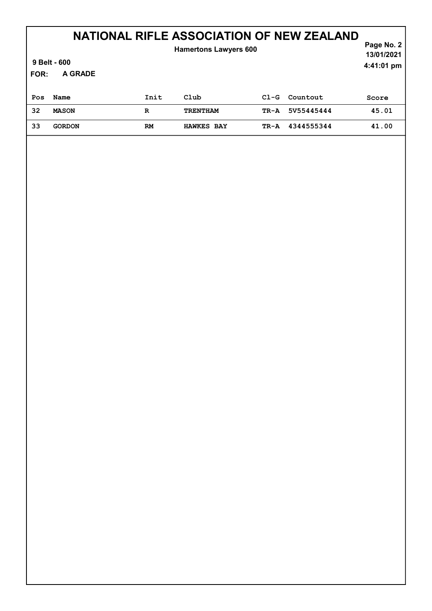#### A GRADE Page No. 2 NATIONAL RIFLE ASSOCIATION OF NEW ZEALAND 13/01/2021 9 Belt - 600 FOR: 4:41:01 pm Hamertons Lawyers 600 Pos Name 1nit Club Cl-G Countout Score 32 MASON R TRENTHAM TR-A 5V55445444 45.01 33 GORDON RM HAWKES BAY TR-A 4344555344 41.00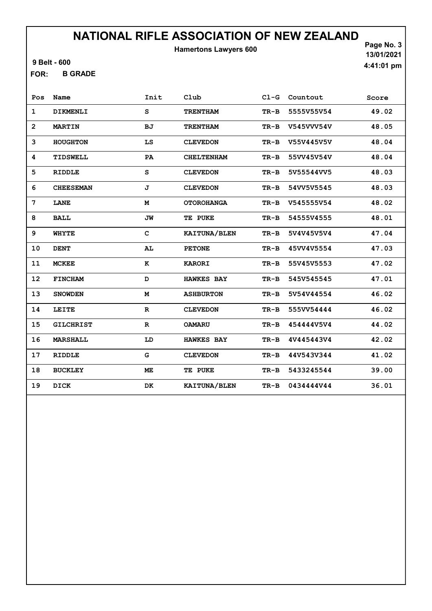Hamertons Lawyers 600

9 Belt - 600

B GRADE FOR:

Page No. 3 13/01/2021 4:41:01 pm

| Pos            | Name             | Init         | Club              | $CL-G$ | Countout   | Score |
|----------------|------------------|--------------|-------------------|--------|------------|-------|
| $\mathbf{1}$   | DIKMENLI         | S            | <b>TRENTHAM</b>   | $TR-B$ | 5555V55V54 | 49.02 |
| $\overline{2}$ | <b>MARTIN</b>    | <b>BJ</b>    | <b>TRENTHAM</b>   | $TR-B$ | V545VVV54V | 48.05 |
| 3              | <b>HOUGHTON</b>  | LS           | <b>CLEVEDON</b>   | TR-B   | V55V445V5V | 48.04 |
| 4              | TIDSWELL         | PA           | <b>CHELTENHAM</b> | $TR-B$ | 55VV45V54V | 48.04 |
| 5              | <b>RIDDLE</b>    | S            | <b>CLEVEDON</b>   | $TR-B$ | 5V55544VV5 | 48.03 |
| 6              | <b>CHEESEMAN</b> | J            | <b>CLEVEDON</b>   | $TR-B$ | 54VV5V5545 | 48.03 |
| 7              | <b>LANE</b>      | M            | <b>OTOROHANGA</b> | $TR-B$ | V545555V54 | 48.02 |
| 8              | <b>BALL</b>      | JW           | TE PUKE           | $TR-B$ | 54555V4555 | 48.01 |
| 9              | <b>WHYTE</b>     | $\mathbf{C}$ | KAITUNA/BLEN      | $TR-B$ | 5V4V45V5V4 | 47.04 |
| 10             | <b>DENT</b>      | AL           | <b>PETONE</b>     | $TR-B$ | 45VV4V5554 | 47.03 |
| 11             | <b>MCKEE</b>     | к            | <b>KARORI</b>     | TR-B   | 55V45V5553 | 47.02 |
| 12             | <b>FINCHAM</b>   | D            | <b>HAWKES BAY</b> | TR-B   | 545V545545 | 47.01 |
| 13             | <b>SNOWDEN</b>   | M            | <b>ASHBURTON</b>  | $TR-B$ | 5V54V44554 | 46.02 |
| 14             | LEITE            | R            | <b>CLEVEDON</b>   | $TR-B$ | 555VV54444 | 46.02 |
| 15             | <b>GILCHRIST</b> | $\mathbf{R}$ | <b>OAMARU</b>     | $TR-B$ | 454444V5V4 | 44.02 |
| 16             | <b>MARSHALL</b>  | LD           | <b>HAWKES BAY</b> | $TR-B$ | 4V445443V4 | 42.02 |
| 17             | <b>RIDDLE</b>    | G            | <b>CLEVEDON</b>   | $TR-B$ | 44V543V344 | 41.02 |
| 18             | <b>BUCKLEY</b>   | ME           | TE PUKE           | TR-B   | 5433245544 | 39.00 |
| 19             | DICK             | DK           | KAITUNA/BLEN      | $TR-B$ | 0434444V44 | 36.01 |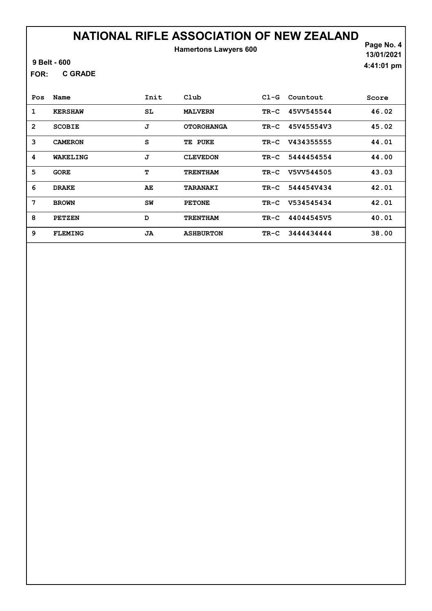### NATIONAL RIFLE ASSOCIATION OF NEW ZEALAND Hamertons Lawyers 600

9 Belt - 600

C GRADE FOR:

Page No. 4 13/01/2021 4:41:01 pm

| Pos            | Name           | Init | $_{\rm Club}$     | $C1-G$ | Countout   | Score |
|----------------|----------------|------|-------------------|--------|------------|-------|
| 1              | <b>KERSHAW</b> | SL   | <b>MALVERN</b>    | $TR-C$ | 45VV545544 | 46.02 |
| $\overline{2}$ | <b>SCOBIE</b>  | J    | <b>OTOROHANGA</b> | $TR-C$ | 45V45554V3 | 45.02 |
| 3              | <b>CAMERON</b> | S    | PUKE<br>TE        | $TR-C$ | V434355555 | 44.01 |
| 4              | WAKELING       | J    | <b>CLEVEDON</b>   | $TR-C$ | 5444454554 | 44.00 |
| 5              | <b>GORE</b>    | т    | <b>TRENTHAM</b>   | $TR-C$ | V5VV544505 | 43.03 |
| 6              | <b>DRAKE</b>   | AE   | <b>TARANAKI</b>   | TR-C   | 5444547434 | 42.01 |
| 7              | <b>BROWN</b>   | SW   | <b>PETONE</b>     | $TR-C$ | V534545434 | 42.01 |
| 8              | <b>PETZEN</b>  | D    | <b>TRENTHAM</b>   | $TR-C$ | 44044545V5 | 40.01 |
| 9              | <b>FLEMING</b> | JA   | <b>ASHBURTON</b>  | $TR-C$ | 3444434444 | 38.00 |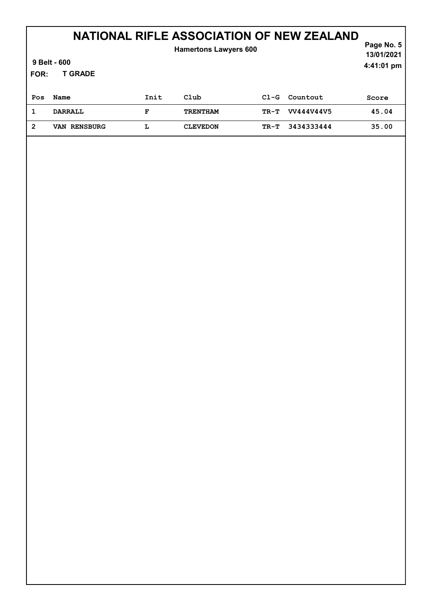### Page No. 5 NATIONAL RIFLE ASSOCIATION OF NEW ZEALAND

| 9 Belt - 600<br>FOR: |                        | . ugu no. v<br>13/01/2021<br>4:41:01 pm |                 |        |            |       |
|----------------------|------------------------|-----------------------------------------|-----------------|--------|------------|-------|
| Pos                  | Name                   | Init                                    | Club            | $C1-G$ | Countout   | Score |
|                      | <b>DARRALL</b>         | F                                       | <b>TRENTHAM</b> | TR-T   | VV444V44V5 | 45.04 |
| 2                    | <b>RENSBURG</b><br>VAN | L                                       | <b>CLEVEDON</b> | TR-T   | 3434333444 | 35.00 |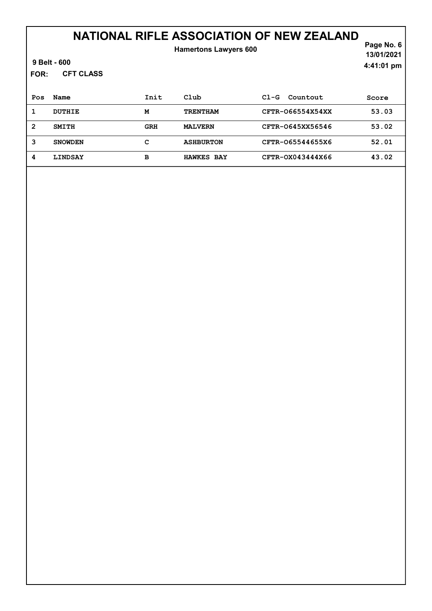| FOR:           | 9 Belt - 600<br><b>CFT CLASS</b> |            | <b>Hamertons Lawyers 600</b> |                    | Page No. 6<br>13/01/2021<br>4:41:01 pm |
|----------------|----------------------------------|------------|------------------------------|--------------------|----------------------------------------|
| Pos            | Name                             | Init       | Club                         | $C1-G$<br>Countout | Score                                  |
| 1              | <b>DUTHIE</b>                    | M          | <b>TRENTHAM</b>              | CFTR-066554X54XX   | 53.03                                  |
| $\overline{2}$ | <b>SMITH</b>                     | <b>GRH</b> | <b>MALVERN</b>               | CFTR-0645XX56546   | 53.02                                  |
| 3              | <b>SNOWDEN</b>                   | c          | <b>ASHBURTON</b>             | CFTR-065544655X6   | 52.01                                  |
| 4              | <b>LINDSAY</b>                   | в          | <b>HAWKES BAY</b>            | CFTR-0X043444X66   | 43.02                                  |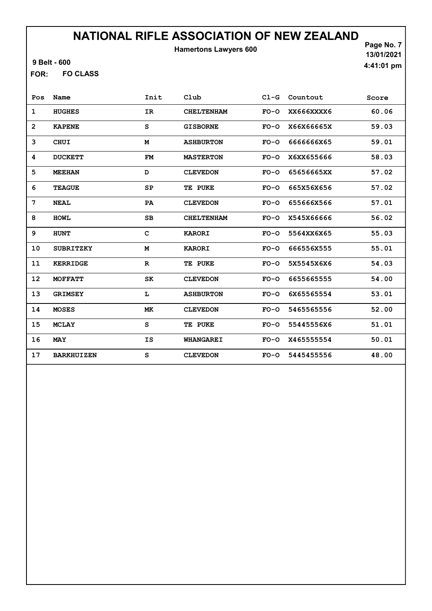Hamertons Lawyers 600

9 Belt - 600

FO CLASS FOR:

Page No. 7 13/01/2021 4:41:01 pm

| Pos            | Name              | Init         | Club              | $CL-G$ | Countout   | Score |
|----------------|-------------------|--------------|-------------------|--------|------------|-------|
| $\mathbf 1$    | <b>HUGHES</b>     | IR           | <b>CHELTENHAM</b> | $FO-O$ | XX666XXXX6 | 60.06 |
| $\overline{2}$ | <b>KAPENE</b>     | S            | <b>GISBORNE</b>   | $FO-O$ | X66X66665X | 59.03 |
| 3              | <b>CHUI</b>       | M            | <b>ASHBURTON</b>  | $FO-O$ | 666666865  | 59.01 |
| 4              | <b>DUCKETT</b>    | FM           | <b>MASTERTON</b>  | $FO-O$ | X6XX655666 | 58.03 |
| 5              | <b>MEEHAN</b>     | D            | <b>CLEVEDON</b>   | $FO-O$ | 65656665XX | 57.02 |
| 6              | <b>TEAGUE</b>     | SP           | TE PUKE           | $FO-O$ | 665X56X656 | 57.02 |
| 7              | <b>NEAL</b>       | PA           | <b>CLEVEDON</b>   | $FO-O$ | 655666X566 | 57.01 |
| 8              | <b>HOWL</b>       | SB           | <b>CHELTENHAM</b> | $FO-O$ | X545X66666 | 56.02 |
| 9              | <b>HUNT</b>       | $\mathbf{C}$ | <b>KARORI</b>     | $FO-O$ | 5564XX6X65 | 55.03 |
| 10             | <b>SUBRITZKY</b>  | M            | <b>KARORI</b>     | $FO-O$ | 666556X555 | 55.01 |
| 11             | <b>KERRIDGE</b>   | $\mathbf R$  | TE PUKE           | $FO-O$ | 5X5545X6X6 | 54.03 |
| 12             | <b>MOFFATT</b>    | SK           | <b>CLEVEDON</b>   | $FO-O$ | 6655665555 | 54.00 |
| 13             | <b>GRIMSEY</b>    | L            | <b>ASHBURTON</b>  | $FO-O$ | 6X65565554 | 53.01 |
| 14             | <b>MOSES</b>      | МK           | <b>CLEVEDON</b>   | $FO-O$ | 5465565556 | 52.00 |
| 15             | <b>MCLAY</b>      | S            | TE PUKE           | $FO-O$ | 55445556X6 | 51.01 |
| 16             | <b>MAY</b>        | IS           | <b>WHANGAREI</b>  | $FO-O$ | X465555554 | 50.01 |
| 17             | <b>BARKHUIZEN</b> | S            | <b>CLEVEDON</b>   | $FO-O$ | 5445455556 | 48.00 |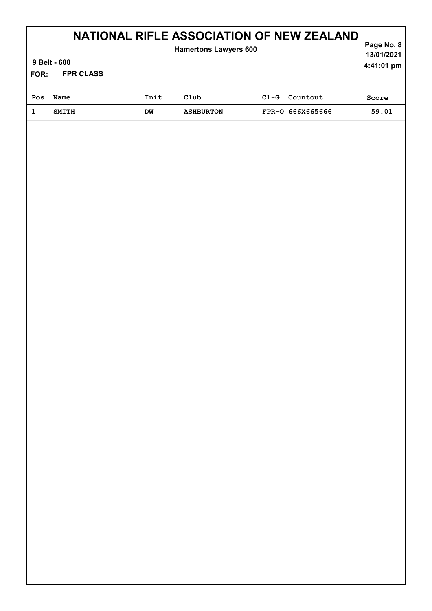| NATIONAL RIFLE ASSOCIATION OF NEW ZEALAND<br><b>Hamertons Lawyers 600</b> |                            |      |                  |        |                  |       |  |  |
|---------------------------------------------------------------------------|----------------------------|------|------------------|--------|------------------|-------|--|--|
|                                                                           | 9 Belt - 600<br>4:41:01 pm |      |                  |        |                  |       |  |  |
| FOR:                                                                      | <b>FPR CLASS</b>           |      |                  |        |                  |       |  |  |
| Pos                                                                       | Name                       | Init | Club             | $C1-G$ | Countout         | Score |  |  |
|                                                                           | <b>SMITH</b>               | DM   | <b>ASHBURTON</b> |        | FPR-0 666X665666 | 59.01 |  |  |
|                                                                           |                            |      |                  |        |                  |       |  |  |